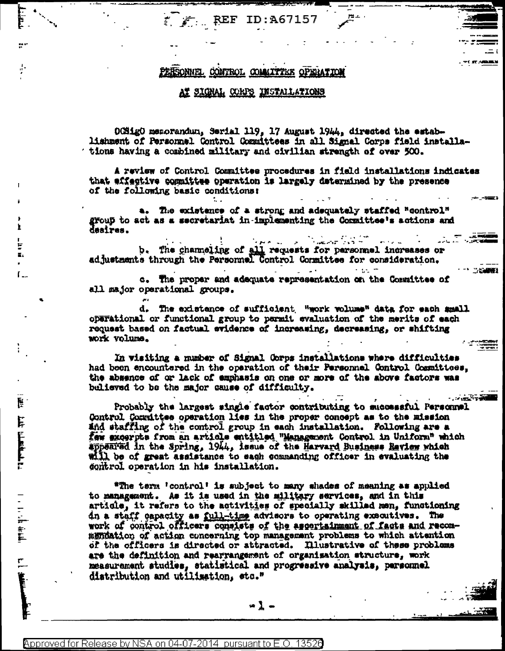$\sum$  REF ID:A67157

# PERSONNEL CONTROL COMMITTEE OPERATION

### AT SIGNAL CORPS INSTALLATIONS

OCSigO memorandun, Serial 119, 17 August 1944, directed the establishment of Personnel Control Committees in all Signal Corps field installations having a combined military and oivilian strength of over 500.

A review of Control Committee procedures in field installations indicates that effective committee operation is largely determined by the presence of the following basic conditions:

a. The existence of a strong and adequately staffed "control" group to act as a secretariat in-implementing the Committee's actions and desires.

المحافظة المحافظة المحافظة المحافظة المحافظة المحافظة المحافظة المحافظة المحافظة المحافظة المحافظة ا<br>المحافظة المحافظة المحافظة المحافظة المحافظة المحافظة المحافظة المحافظة المحافظة المحافظة المحافظة المحافظة ال b. The channeling of all requests for personnel increases or adjustments through the Personnel Control Conmittee for consideration.

c. The proper and adequate representation on the Committee of all major operational groups.

d. The existence of sufficient "work volume" data for each small operational or functional group to permit evaluation of the merits of each request based on factual evidence of increasing, decreasing, or shifting work volume.

 $\omega = \omega \left( \mathbf{r} \right)$ 

 $\sim$  and  $\sim$ 

**PARTICIPAL AND INCOME.** 

In visiting a number of Signal Corps installations where difficulties had been encountered in the operation of their Personnel Control Committees, the absence of or lack of emphasis on one or more of the above factors was believed to be the major cause of difficulty.

Probably the largest single factor contributing to successful Personnel Control Committee operation lies in the proper concept as to the mission and staffing of the control group in each installation. Following are a faw excerpts from an article entitled "Management Control in Uniform" which appeared in the Spring, 1944, issue of the Harvard Business Review which will be of great assistance to each commanding officer in evaluating the control operation in his installation.

\*The term 'control' is subject to many shades of meaning as applied to management. As it is used in the military services, and in this article, it refers to the activities of specially skilled men, functioning in a staff capacity as full-time advisors to operating executives. The work of control officers consists of the ascertainment of facts and recommendation of action concerning top management problems to which attention of the officers is directed or attracted. Illustrative of these problems are the definition and rearrangement of organisation structure, work measurement studies, statistical and progressive analysis, parsonnel distribution and utilization, sto."

-1 -

E.

 $L_{\rm{m}}$ 

話

فالملحلة فللنا فللنا

一、一、一、字套

 $\frac{1}{2}$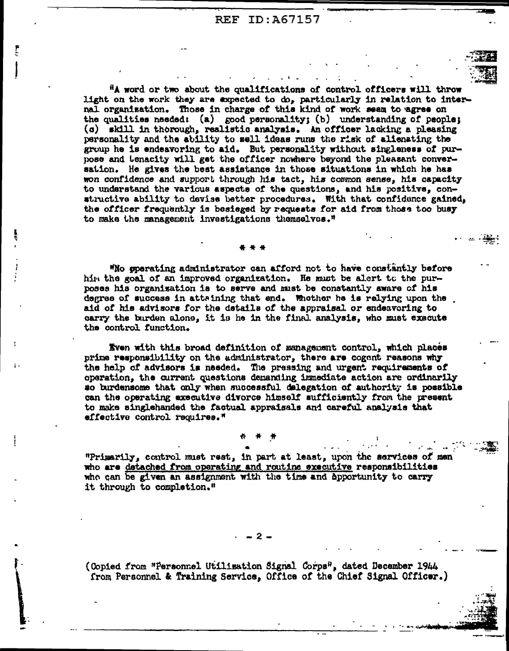**REF ID: A67157** 

"A word or two about the qualifications of control officers will throw light on the work they are expected to do, particularly in relation to internal organisation. Those in charge of this kind of work seem to agree on the qualities needed: (a) good personality; (b) understanding of people; (c) skill in thorough, realistic analysis. An officer lacking a pleasing personality and the ability to sell ideas runs the risk of alienating the group he is endeavoring to aid. But personality without singleness of purpose and tenacity will get the officer nowhere beyond the pleasant conversation. He gives the best assistance in those situations in which he has won confidence and support through his tact, his common sense, his capacity to understand the various aspects of the questions, and his positive, constructive ability to devise better procedures. With that confidence gained, the officer frequently is besieged by requests for aid from those too busy to make the management investigations themselves."

"No operating administrator can afford not to have constantly before him the goal of an improved organization. He must be alert to the purposes his organization is to serve and must be constantly aware of his degree of success in attaining that end. Whother he is relying upon the aid of his advisors for the details of the appraisal or endeavoring to carry the burden alone, it is he in the final analysis, who must execute the control function.

Even with this broad definition of management control, which places prime responsibility on the administrator, there are cogent reasons why the help of advisors is needed. The pressing and urgent requirements of operation, the current questions demanding immediate action are ordinarily so burdensome that only when successful delegation of authority is possible can the operating executive divorce himself sufficiently from the present to make singlehanded the factual appraisals and careful analysis that effective control requires."

"Primarily, control must rest, in part at least, upon the services of men who are detached from operating and routine executive responsibilities who can be given an assignment with the time and apportunity to carry it through to completion."

### $-2-$

(Copied from "Personnel Utilisation Signal Corps", dated December 1944 from Personnel & Training Service, Office of the Chief Signal Officer.)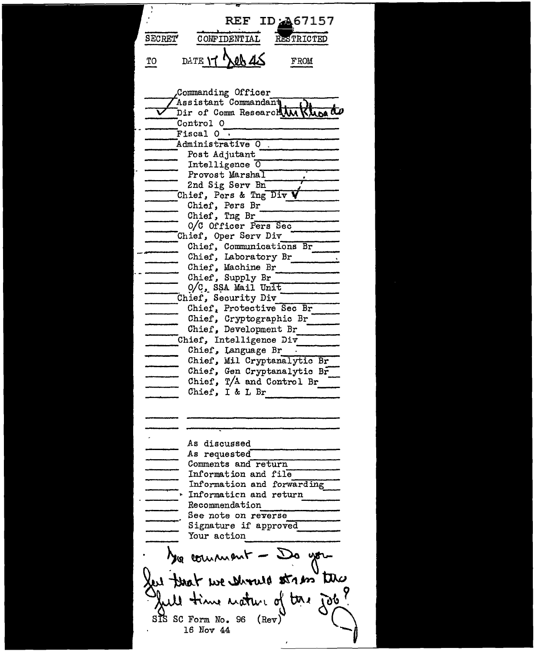REF ID: 467157 SECRET' CONFIDENTIAL RESTRICTED TO DATE **17 Net 45** FROM Commanding Officer  $\tau_{\text{Assistant}}$  Commandant  $_{\text{Dir}}$  of Comm Research  $\overline{\text{Man}}$   $\overline{\text{Man}}$   $\overline{\text{AD}}$ Control 0  $F<sub>isca1</sub>$  0  $-$ Administrative O. Intelligence  $\overline{0}$ Provost Marshal 2nd Sig Serv Bn End Sig Serv Bn<br>
Chief, Pers & Tng Div V<br>
Chief, Pers Br<br>
Chief, Tng Br<br>
O/C Officer Pers Sec Chief, Oper Serv Div<br>Chief, Communications Br Chief, Laboratory Br<br>
Chief, Machine Br<br>
Chief, Supply Br<br>
0/C, SSA Mail Unit ----Chief. Security Div ----- Chief. --..---------- Protective Sec Br Chief, Development Br<br>
--- Chief, Intelligence Div<br>
--- Chief, Mil Cryptanalytic Br Chief, Gen Cryptanalytic Br Chief,  $T/A$  and Control Br As discussed As requested ------------ Comments and.-r-e..,...tu\_r\_n \_\_\_\_\_\_ \_ Information and file Information and fol:'l.~arding ------- .. Informa ticn and return - ----- Recommendation See note on re\_v\_e\_r\_s\_e \_\_\_\_\_ \_ signature if approved Tour action yo commant - 5 ent that we should strik by le time mature of time job? SIS SC Form No. 96  $(Rev)$ 16 Nov 44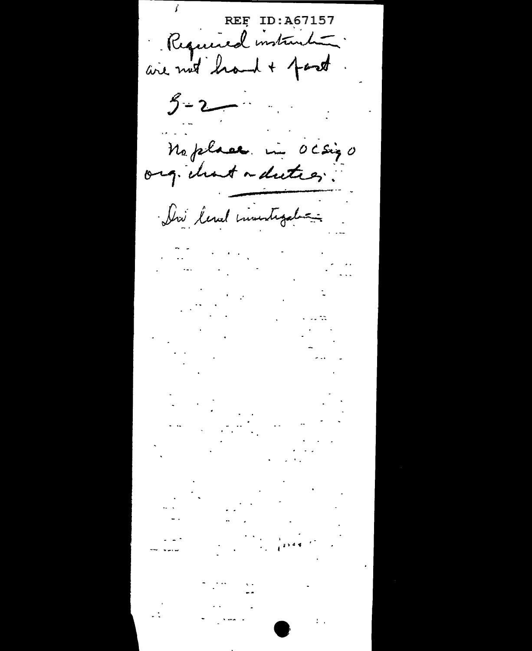REF ID: A67157  $5 - 2$  $\frac{1}{2}$ Meplace in Ocsigo Dri level investigation  $\mathcal{L}^{\text{max}}_{\text{max}}$  , where  $\mathcal{L}^{\text{max}}_{\text{max}}$  $\frac{1}{2} \sum_{i=1}^{n} \frac{1}{2} \sum_{j=1}^{n} \frac{1}{2} \sum_{j=1}^{n} \frac{1}{2} \sum_{j=1}^{n} \frac{1}{2} \sum_{j=1}^{n} \frac{1}{2} \sum_{j=1}^{n} \frac{1}{2} \sum_{j=1}^{n} \frac{1}{2} \sum_{j=1}^{n} \frac{1}{2} \sum_{j=1}^{n} \frac{1}{2} \sum_{j=1}^{n} \frac{1}{2} \sum_{j=1}^{n} \frac{1}{2} \sum_{j=1}^{n} \frac{1}{2} \sum_{j=1}^{n$  $\sim 10^{11}$  km s  $^{-1}$  $\omega$  and  $\omega$ المالم والمت

 $\sim 10^{-10}$  $\mathcal{L}^{\mathcal{L}}$  $\label{eq:1} \frac{1}{\sqrt{2}}\int_{0}^{\pi}\frac{1}{\sqrt{2\pi}}\left(\frac{1}{\sqrt{2\pi}}\right)^{2}d\mu_{\rm{max}}\left(\frac{1}{\sqrt{2\pi}}\right).$  $\sim 1000$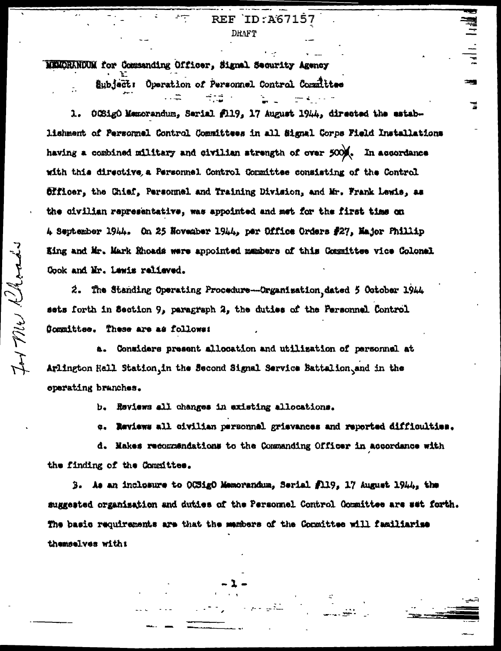**DRAFT** 

MEMORANDUM for Commanding Officer, Signal Security Agency

Subject: Operation of Personnel Control Committee

OCSigO Memorandum, Serial #119, 17 August 1944, directed the estab-1. lishment of Personnel Control Committees in all Signal Corps Field Installations having a combined military and civilian strength of over 500%. In accordance with this directive a Personnel Control Committee consisting of the Control Officer, the Chief, Personmel and Training Division, and Mr. Frank Lewis, as the civilian representative, was appointed and met for the first time on 4 September 1944. On 25 November 1944, per Office Orders #27, Najor Phillip King and Mr. Mark Rhoads were appointed mambers of this Committee vice Colonel Cook and Mr. Lewis relieved.

2. The Standing Operating Procedure-Organization dated 5 October 1944 sets forth in Section 9, paragraph 2, the duties of the Fersonnel Control Committee. These are as follows:

a. Considers present allocation and utilization of personnel at Arlington Hall Station, in the Second Signal Service Battalion, and in the operating branches.

b. Reviews all changes in existing allocations.

c. Reviews all civilian personnel grievances and reported difficulties.

d. Makes recommendations to the Commanding Officer in accordance with the finding of the Committee.

3. As an inclusure to OCSigO Memorandum, Serial fll9, 17 August 1944, the suggested organisation and duties of the Personnel Control Gommittee are set forth. The basic requirements are that the members of the Committee will familiarise themselves with: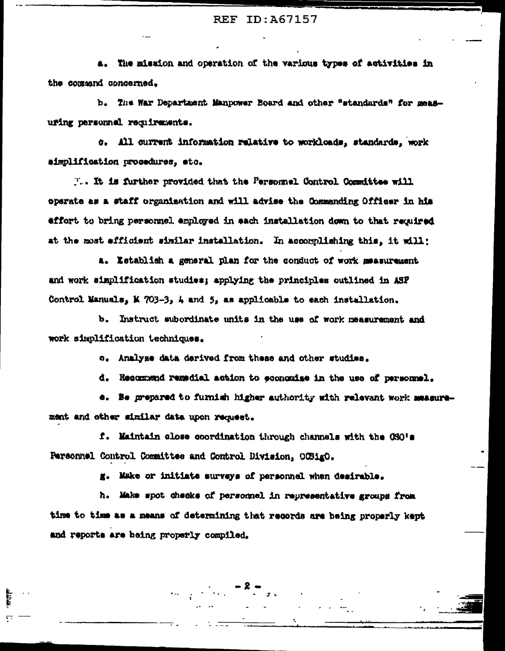### **REF ID: A67157**

a. The mission and operation of the various types of activities in the command concerned.

b. The War Department Manpower Board and other "standards" for measuring personnel requirements.

c. All current information relative to workloads, standards, work aimplification procedures, etc.

T.. It is further provided that the Personnel Control Committee will operate as a staff organisation and will advise the Commanding Officer in his effort to bring personnel employed in each installation down to that required at the most efficient similar installation. In accomplishing this, it will:

a. Establish a general plan for the conduct of work measurement and work simplification studies; applying the principles outlined in ASF Control Manuals, K 703-3, 4 and 5, as applicable to each installation.

b. Instruct subordinate units in the use of work measurement and work simplification techniques.

c. Analyze data derived from these and other studies.

d. Recommend remadial action to economize in the use of personnel.

e. Be prepared to furnish higher authority with relevant work measurement and other similar data upon request.

f. Maintain close coordination through channels with the CSO's Personnel Control Committee and Control Division, OCSigO.

g. Make or initiate surveys of personnel when desirable.

h. Make spot checks of personnel in representative groups from time to time as a means of determining that records are being properly kept and reports are being properly compiled.

 $\mathcal{L}_{\mathcal{F}} = \mathcal{L} \mathcal{F}$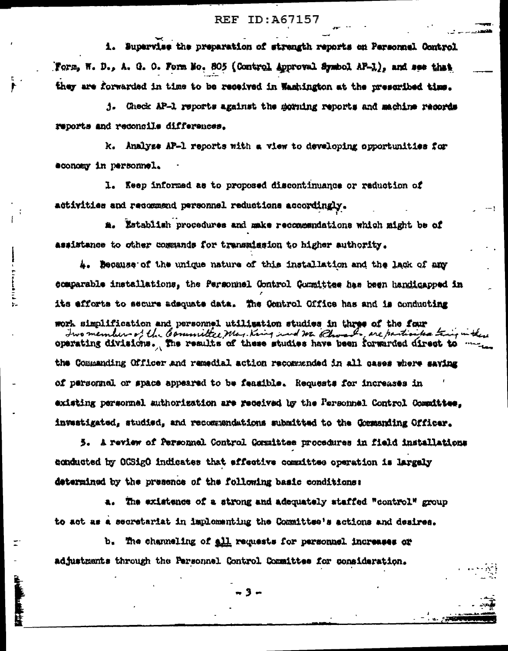## **REF ID:A67157**

i. Supervise the preparation of strength reports on Personnel Control Form, W. D., A. G. O. Form Mo. 805 (Control Approval Symbol AF-1), and see that they are forwarded in time to be received in Washington at the prescribed time.

j. Check AP-1 reports against the morning reports and machine records reports and reconcile differences.

k. Analyse AP-1 reports with a view to developing opportunities for economy in personnel.

1. Keep informed as to proposed discontinuance or reduction of activities and recommend personnel reductions accordingly.

a. Establish procedures and make recommendations which might be of assistance to other commands for transmission to higher authority.

4. Because of the unique nature of this installation and the lack of any comparable installations, the Personnel Gontrol Gommittee has been handicapped in its efforts to secure adequate data. The Control Office has and is conducting

work simplification and personnel utilization studies in three of the four Iwo members of the Committee, May King and We Choose , are particular train in the operating divisions. The results of these studies have been forwarded direct to the Commanding Officer and remedial action recommended in all cases where saving of personnel or space appeared to be feasible. Requests for increases in existing personnel authorization are received by the Personnel Control Committee, investigated, studied, and recommendations submitted to the Cormanding Officer.

5. A review of Personnel Control Conmittee procedures in field installations conducted by OCSigO indicates that effective committee operation is largely determined by the presence of the following basic conditions:

a. The existence of a strong and adequately staffed "control" group to act as a secretariat in implementing the Committee's actions and desires.

b. The channeling of all requests for personnel increases or adjustments through the Personnel Control Committee for consideration.